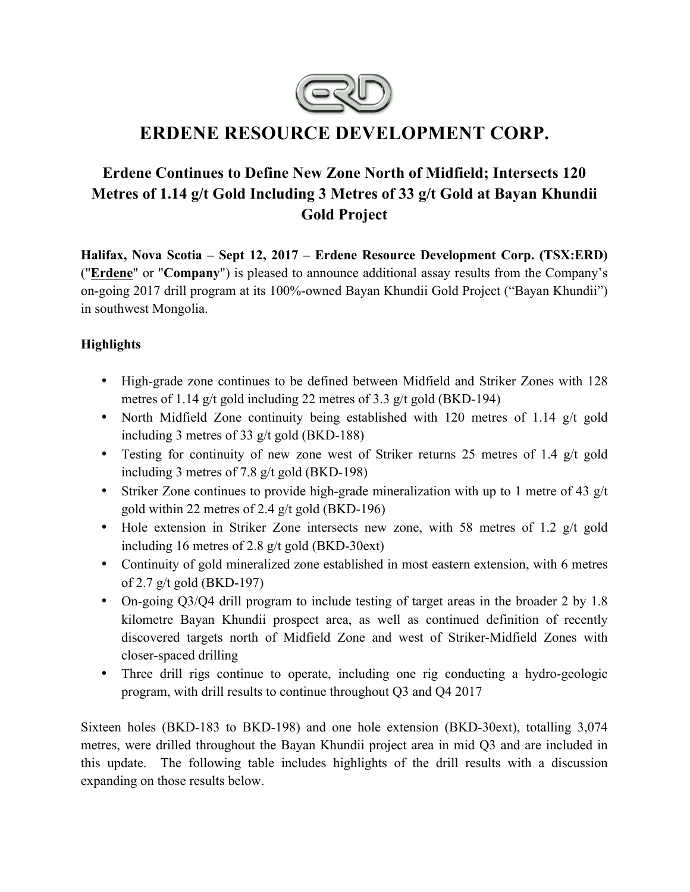

# **ERDENE RESOURCE DEVELOPMENT CORP.**

# **Erdene Continues to Define New Zone North of Midfield; Intersects 120 Metres of 1.14 g/t Gold Including 3 Metres of 33 g/t Gold at Bayan Khundii Gold Project**

**Halifax, Nova Scotia – Sept 12, 2017 – Erdene Resource Development Corp. (TSX:ERD)**  ("**Erdene**" or "**Company**") is pleased to announce additional assay results from the Company's on-going 2017 drill program at its 100%-owned Bayan Khundii Gold Project ("Bayan Khundii") in southwest Mongolia.

# **Highlights**

- High-grade zone continues to be defined between Midfield and Striker Zones with 128 metres of 1.14 g/t gold including 22 metres of 3.3 g/t gold (BKD-194)
- North Midfield Zone continuity being established with 120 metres of 1.14 g/t gold including 3 metres of 33 g/t gold (BKD-188)
- Testing for continuity of new zone west of Striker returns 25 metres of 1.4 g/t gold including 3 metres of 7.8 g/t gold (BKD-198)
- Striker Zone continues to provide high-grade mineralization with up to 1 metre of 43 g/t gold within 22 metres of 2.4 g/t gold (BKD-196)
- Hole extension in Striker Zone intersects new zone, with 58 metres of 1.2 g/t gold including 16 metres of 2.8 g/t gold (BKD-30ext)
- Continuity of gold mineralized zone established in most eastern extension, with 6 metres of 2.7 g/t gold (BKD-197)
- On-going Q3/Q4 drill program to include testing of target areas in the broader 2 by 1.8 kilometre Bayan Khundii prospect area, as well as continued definition of recently discovered targets north of Midfield Zone and west of Striker-Midfield Zones with closer-spaced drilling
- Three drill rigs continue to operate, including one rig conducting a hydro-geologic program, with drill results to continue throughout Q3 and Q4 2017

Sixteen holes (BKD-183 to BKD-198) and one hole extension (BKD-30ext), totalling 3,074 metres, were drilled throughout the Bayan Khundii project area in mid Q3 and are included in this update. The following table includes highlights of the drill results with a discussion expanding on those results below.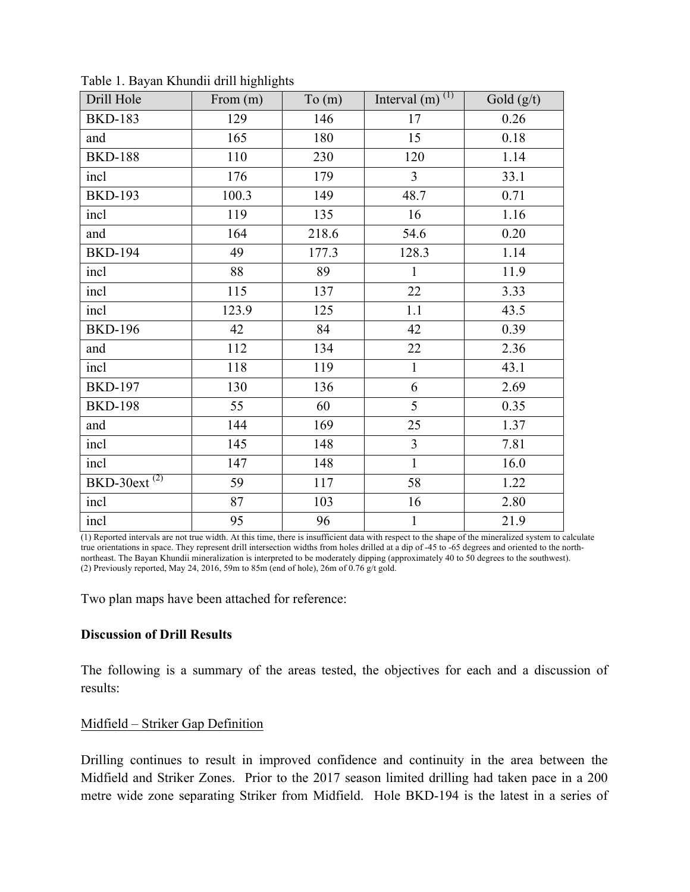| Drill Hole                 | From $(m)$ | To(m) | Interval $(m)$ <sup>(1)</sup> | Gold $(g/t)$ |
|----------------------------|------------|-------|-------------------------------|--------------|
| <b>BKD-183</b>             | 129        | 146   | 17                            | 0.26         |
| and                        | 165        | 180   | 15                            | 0.18         |
| <b>BKD-188</b>             | 110        | 230   | 120                           | 1.14         |
| incl                       | 176        | 179   | $\overline{3}$                | 33.1         |
| <b>BKD-193</b>             | 100.3      | 149   | 48.7                          | 0.71         |
| incl                       | 119        | 135   | 16                            | 1.16         |
| and                        | 164        | 218.6 | 54.6                          | 0.20         |
| <b>BKD-194</b>             | 49         | 177.3 | 128.3                         | 1.14         |
| incl                       | 88         | 89    | $\mathbf{1}$                  | 11.9         |
| incl                       | 115        | 137   | 22                            | 3.33         |
| incl                       | 123.9      | 125   | 1.1                           | 43.5         |
| <b>BKD-196</b>             | 42         | 84    | 42                            | 0.39         |
| and                        | 112        | 134   | 22                            | 2.36         |
| incl                       | 118        | 119   | $\mathbf{1}$                  | 43.1         |
| <b>BKD-197</b>             | 130        | 136   | 6                             | 2.69         |
| <b>BKD-198</b>             | 55         | 60    | 5                             | 0.35         |
| and                        | 144        | 169   | 25                            | 1.37         |
| incl                       | 145        | 148   | $\overline{3}$                | 7.81         |
| incl                       | 147        | 148   | $\mathbf{1}$                  | 16.0         |
| $BKD-30ext$ <sup>(2)</sup> | 59         | 117   | 58                            | 1.22         |
| incl                       | 87         | 103   | 16                            | 2.80         |
| incl                       | 95         | 96    | $\mathbf{1}$                  | 21.9         |

Table 1. Bayan Khundii drill highlights

(1) Reported intervals are not true width. At this time, there is insufficient data with respect to the shape of the mineralized system to calculate true orientations in space. They represent drill intersection widths from holes drilled at a dip of -45 to -65 degrees and oriented to the northnortheast. The Bayan Khundii mineralization is interpreted to be moderately dipping (approximately 40 to 50 degrees to the southwest). (2) Previously reported, May 24, 2016, 59m to 85m (end of hole), 26m of 0.76 g/t gold.

Two plan maps have been attached for reference:

#### **Discussion of Drill Results**

The following is a summary of the areas tested, the objectives for each and a discussion of results:

#### Midfield – Striker Gap Definition

Drilling continues to result in improved confidence and continuity in the area between the Midfield and Striker Zones. Prior to the 2017 season limited drilling had taken pace in a 200 metre wide zone separating Striker from Midfield. Hole BKD-194 is the latest in a series of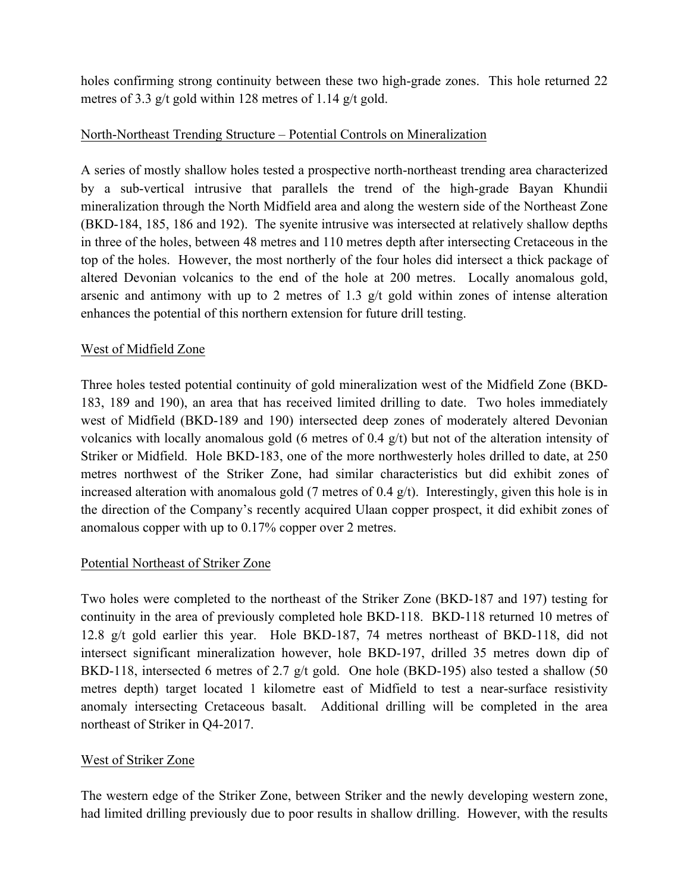holes confirming strong continuity between these two high-grade zones. This hole returned 22 metres of 3.3 g/t gold within 128 metres of 1.14 g/t gold.

## North-Northeast Trending Structure – Potential Controls on Mineralization

A series of mostly shallow holes tested a prospective north-northeast trending area characterized by a sub-vertical intrusive that parallels the trend of the high-grade Bayan Khundii mineralization through the North Midfield area and along the western side of the Northeast Zone (BKD-184, 185, 186 and 192). The syenite intrusive was intersected at relatively shallow depths in three of the holes, between 48 metres and 110 metres depth after intersecting Cretaceous in the top of the holes. However, the most northerly of the four holes did intersect a thick package of altered Devonian volcanics to the end of the hole at 200 metres. Locally anomalous gold, arsenic and antimony with up to 2 metres of 1.3 g/t gold within zones of intense alteration enhances the potential of this northern extension for future drill testing.

## West of Midfield Zone

Three holes tested potential continuity of gold mineralization west of the Midfield Zone (BKD-183, 189 and 190), an area that has received limited drilling to date. Two holes immediately west of Midfield (BKD-189 and 190) intersected deep zones of moderately altered Devonian volcanics with locally anomalous gold (6 metres of 0.4 g/t) but not of the alteration intensity of Striker or Midfield. Hole BKD-183, one of the more northwesterly holes drilled to date, at 250 metres northwest of the Striker Zone, had similar characteristics but did exhibit zones of increased alteration with anomalous gold (7 metres of 0.4 g/t). Interestingly, given this hole is in the direction of the Company's recently acquired Ulaan copper prospect, it did exhibit zones of anomalous copper with up to 0.17% copper over 2 metres.

### Potential Northeast of Striker Zone

Two holes were completed to the northeast of the Striker Zone (BKD-187 and 197) testing for continuity in the area of previously completed hole BKD-118. BKD-118 returned 10 metres of 12.8 g/t gold earlier this year. Hole BKD-187, 74 metres northeast of BKD-118, did not intersect significant mineralization however, hole BKD-197, drilled 35 metres down dip of BKD-118, intersected 6 metres of 2.7  $g/t$  gold. One hole (BKD-195) also tested a shallow (50 metres depth) target located 1 kilometre east of Midfield to test a near-surface resistivity anomaly intersecting Cretaceous basalt. Additional drilling will be completed in the area northeast of Striker in Q4-2017.

# West of Striker Zone

The western edge of the Striker Zone, between Striker and the newly developing western zone, had limited drilling previously due to poor results in shallow drilling. However, with the results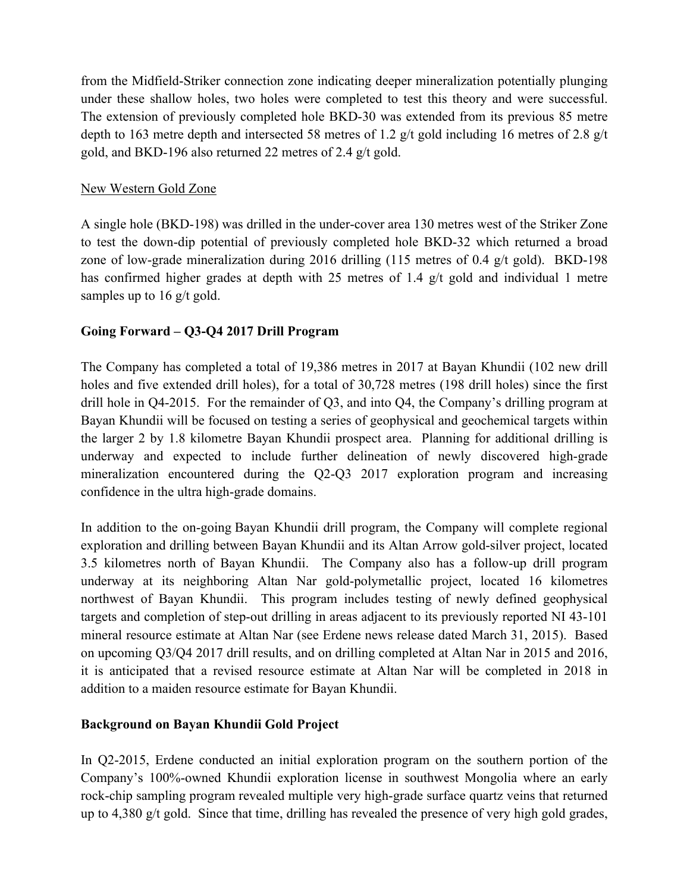from the Midfield-Striker connection zone indicating deeper mineralization potentially plunging under these shallow holes, two holes were completed to test this theory and were successful. The extension of previously completed hole BKD-30 was extended from its previous 85 metre depth to 163 metre depth and intersected 58 metres of 1.2 g/t gold including 16 metres of 2.8 g/t gold, and BKD-196 also returned 22 metres of 2.4 g/t gold.

## New Western Gold Zone

A single hole (BKD-198) was drilled in the under-cover area 130 metres west of the Striker Zone to test the down-dip potential of previously completed hole BKD-32 which returned a broad zone of low-grade mineralization during 2016 drilling (115 metres of 0.4 g/t gold). BKD-198 has confirmed higher grades at depth with 25 metres of 1.4 g/t gold and individual 1 metre samples up to 16 g/t gold.

# **Going Forward – Q3-Q4 2017 Drill Program**

The Company has completed a total of 19,386 metres in 2017 at Bayan Khundii (102 new drill holes and five extended drill holes), for a total of 30,728 metres (198 drill holes) since the first drill hole in Q4-2015. For the remainder of Q3, and into Q4, the Company's drilling program at Bayan Khundii will be focused on testing a series of geophysical and geochemical targets within the larger 2 by 1.8 kilometre Bayan Khundii prospect area. Planning for additional drilling is underway and expected to include further delineation of newly discovered high-grade mineralization encountered during the Q2-Q3 2017 exploration program and increasing confidence in the ultra high-grade domains.

In addition to the on-going Bayan Khundii drill program, the Company will complete regional exploration and drilling between Bayan Khundii and its Altan Arrow gold-silver project, located 3.5 kilometres north of Bayan Khundii. The Company also has a follow-up drill program underway at its neighboring Altan Nar gold-polymetallic project, located 16 kilometres northwest of Bayan Khundii. This program includes testing of newly defined geophysical targets and completion of step-out drilling in areas adjacent to its previously reported NI 43-101 mineral resource estimate at Altan Nar (see Erdene news release dated March 31, 2015). Based on upcoming Q3/Q4 2017 drill results, and on drilling completed at Altan Nar in 2015 and 2016, it is anticipated that a revised resource estimate at Altan Nar will be completed in 2018 in addition to a maiden resource estimate for Bayan Khundii.

# **Background on Bayan Khundii Gold Project**

In Q2-2015, Erdene conducted an initial exploration program on the southern portion of the Company's 100%-owned Khundii exploration license in southwest Mongolia where an early rock-chip sampling program revealed multiple very high-grade surface quartz veins that returned up to 4,380 g/t gold. Since that time, drilling has revealed the presence of very high gold grades,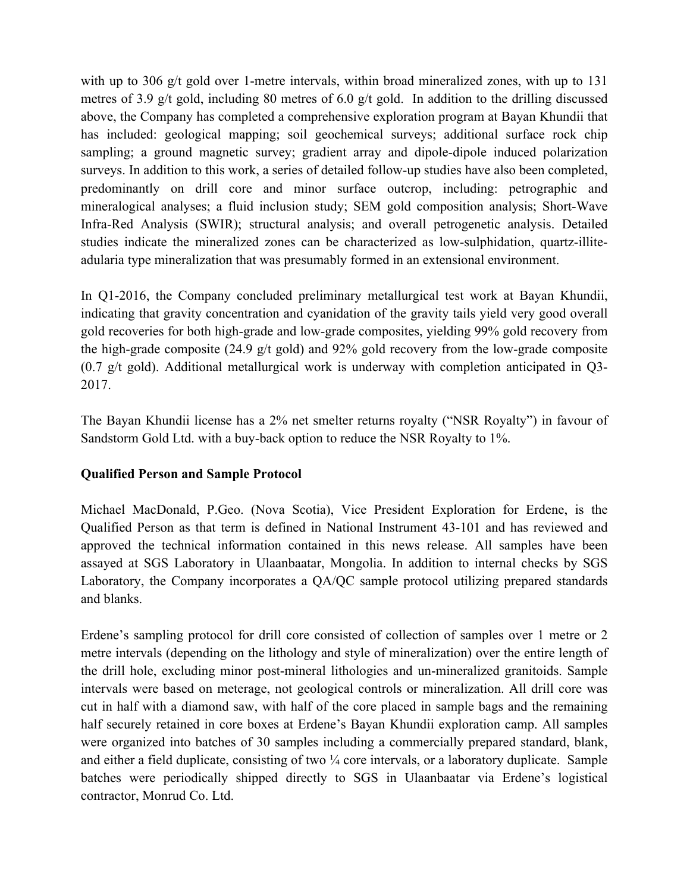with up to 306 g/t gold over 1-metre intervals, within broad mineralized zones, with up to 131 metres of 3.9 g/t gold, including 80 metres of 6.0 g/t gold. In addition to the drilling discussed above, the Company has completed a comprehensive exploration program at Bayan Khundii that has included: geological mapping; soil geochemical surveys; additional surface rock chip sampling; a ground magnetic survey; gradient array and dipole-dipole induced polarization surveys. In addition to this work, a series of detailed follow-up studies have also been completed, predominantly on drill core and minor surface outcrop, including: petrographic and mineralogical analyses; a fluid inclusion study; SEM gold composition analysis; Short-Wave Infra-Red Analysis (SWIR); structural analysis; and overall petrogenetic analysis. Detailed studies indicate the mineralized zones can be characterized as low-sulphidation, quartz-illiteadularia type mineralization that was presumably formed in an extensional environment.

In Q1-2016, the Company concluded preliminary metallurgical test work at Bayan Khundii, indicating that gravity concentration and cyanidation of the gravity tails yield very good overall gold recoveries for both high-grade and low-grade composites, yielding 99% gold recovery from the high-grade composite (24.9 g/t gold) and 92% gold recovery from the low-grade composite (0.7 g/t gold). Additional metallurgical work is underway with completion anticipated in Q3- 2017.

The Bayan Khundii license has a 2% net smelter returns royalty ("NSR Royalty") in favour of Sandstorm Gold Ltd. with a buy-back option to reduce the NSR Royalty to 1%.

### **Qualified Person and Sample Protocol**

Michael MacDonald, P.Geo. (Nova Scotia), Vice President Exploration for Erdene, is the Qualified Person as that term is defined in National Instrument 43-101 and has reviewed and approved the technical information contained in this news release. All samples have been assayed at SGS Laboratory in Ulaanbaatar, Mongolia. In addition to internal checks by SGS Laboratory, the Company incorporates a QA/QC sample protocol utilizing prepared standards and blanks.

Erdene's sampling protocol for drill core consisted of collection of samples over 1 metre or 2 metre intervals (depending on the lithology and style of mineralization) over the entire length of the drill hole, excluding minor post-mineral lithologies and un-mineralized granitoids. Sample intervals were based on meterage, not geological controls or mineralization. All drill core was cut in half with a diamond saw, with half of the core placed in sample bags and the remaining half securely retained in core boxes at Erdene's Bayan Khundii exploration camp. All samples were organized into batches of 30 samples including a commercially prepared standard, blank, and either a field duplicate, consisting of two  $\frac{1}{4}$  core intervals, or a laboratory duplicate. Sample batches were periodically shipped directly to SGS in Ulaanbaatar via Erdene's logistical contractor, Monrud Co. Ltd.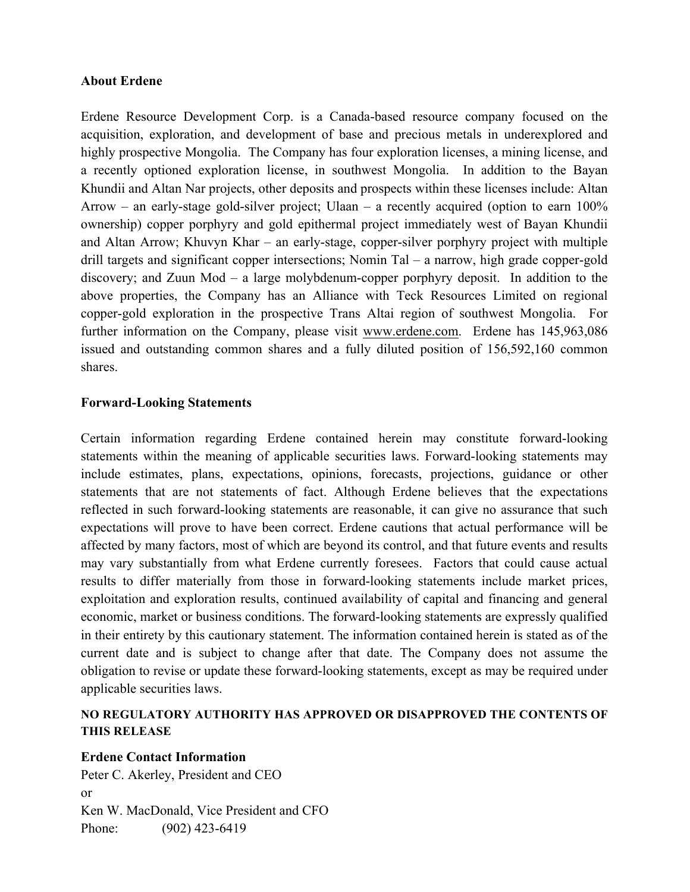#### **About Erdene**

Erdene Resource Development Corp. is a Canada-based resource company focused on the acquisition, exploration, and development of base and precious metals in underexplored and highly prospective Mongolia. The Company has four exploration licenses, a mining license, and a recently optioned exploration license, in southwest Mongolia. In addition to the Bayan Khundii and Altan Nar projects, other deposits and prospects within these licenses include: Altan Arrow – an early-stage gold-silver project; Ulaan – a recently acquired (option to earn  $100\%$ ) ownership) copper porphyry and gold epithermal project immediately west of Bayan Khundii and Altan Arrow; Khuvyn Khar – an early-stage, copper-silver porphyry project with multiple drill targets and significant copper intersections; Nomin Tal – a narrow, high grade copper-gold discovery; and Zuun Mod – a large molybdenum-copper porphyry deposit. In addition to the above properties, the Company has an Alliance with Teck Resources Limited on regional copper-gold exploration in the prospective Trans Altai region of southwest Mongolia. For further information on the Company, please visit www.erdene.com. Erdene has 145,963,086 issued and outstanding common shares and a fully diluted position of 156,592,160 common shares.

### **Forward-Looking Statements**

Certain information regarding Erdene contained herein may constitute forward-looking statements within the meaning of applicable securities laws. Forward-looking statements may include estimates, plans, expectations, opinions, forecasts, projections, guidance or other statements that are not statements of fact. Although Erdene believes that the expectations reflected in such forward-looking statements are reasonable, it can give no assurance that such expectations will prove to have been correct. Erdene cautions that actual performance will be affected by many factors, most of which are beyond its control, and that future events and results may vary substantially from what Erdene currently foresees. Factors that could cause actual results to differ materially from those in forward-looking statements include market prices, exploitation and exploration results, continued availability of capital and financing and general economic, market or business conditions. The forward-looking statements are expressly qualified in their entirety by this cautionary statement. The information contained herein is stated as of the current date and is subject to change after that date. The Company does not assume the obligation to revise or update these forward-looking statements, except as may be required under applicable securities laws.

#### **NO REGULATORY AUTHORITY HAS APPROVED OR DISAPPROVED THE CONTENTS OF THIS RELEASE**

### **Erdene Contact Information**

Peter C. Akerley, President and CEO or Ken W. MacDonald, Vice President and CFO Phone: (902) 423-6419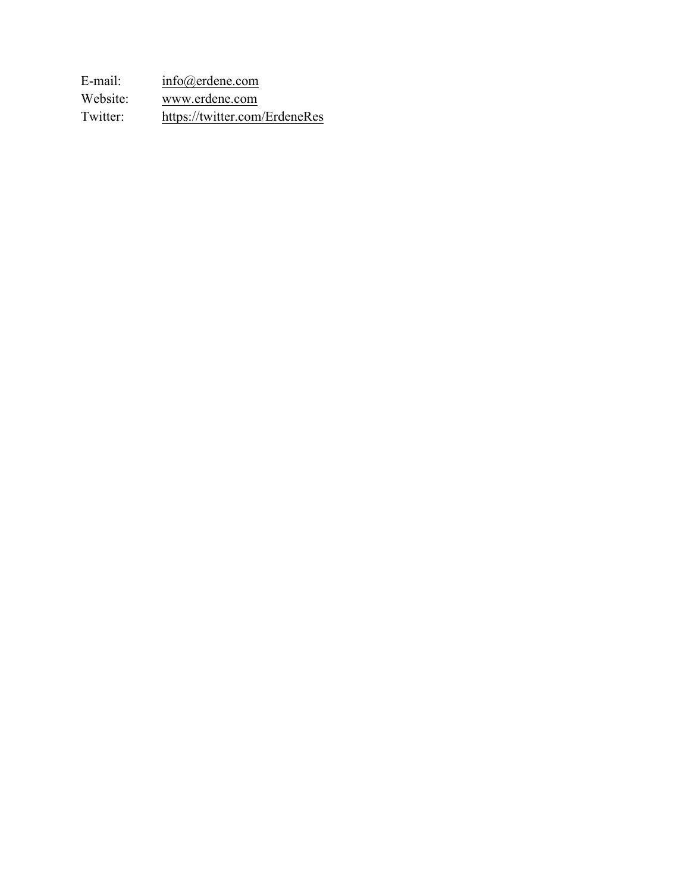E-mail: info@erdene.com Website: www.erdene.com Twitter: https://twitter.com/ErdeneRes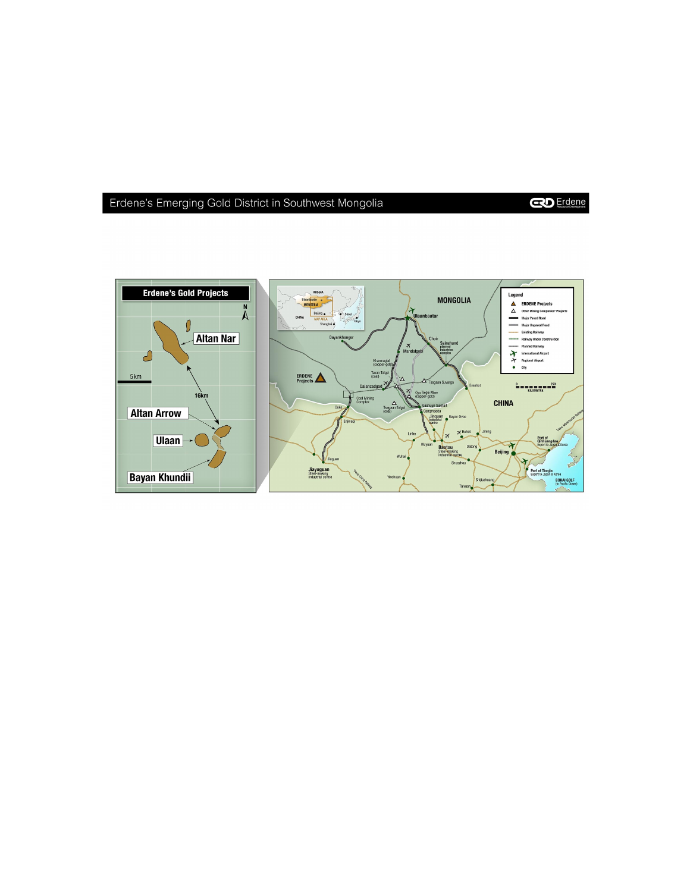# Erdene's Emerging Gold District in Southwest Mongolia

**CO** Erdene